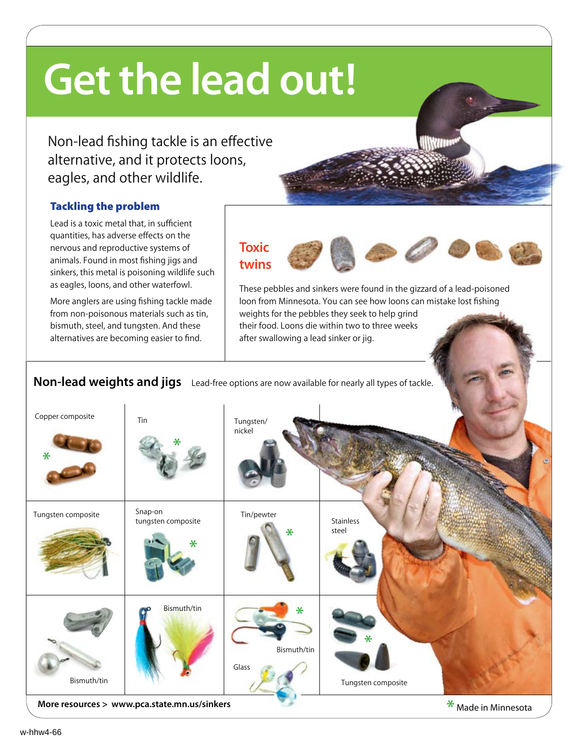# **Get the lead out!**

Non-lead fishing tackle is an effective alternative, and it protects loons, eagles, and other wildlife.

## Tackling the problem

Lead is a toxic metal that, in sufficient quantities, has adverse effects on the nervous and reproductive systems of animals. Found in most fishing jigs and sinkers, this metal is poisoning wildlife such as eagles, loons, and other waterfowl.

More anglers are using fishing tackle made from non-poisonous materials such as tin, bismuth, steel, and tungsten. And these alternatives are becoming easier to find.

# **Toxic twins**

These pebbles and sinkers were found in the gizzard of a lead-poisoned loon from Minnesota. You can see how loons can mistake lost fishing weights for the pebbles they seek to help grind their food. Loons die within two to three weeks after swallowing a lead sinker or jig.

## Non-lead weights and jigs Lead-free options are now available for nearly all types of tackle.

| Copper composite<br>$*$ $\qquad$             | Tin                                | Tungsten/<br>nickel            |                         |                     |
|----------------------------------------------|------------------------------------|--------------------------------|-------------------------|---------------------|
| Tungsten composite                           | Snap-on<br>tungsten composite<br>¥ | Tin/pewter<br>$\ast$           | Stainless<br>steel      |                     |
| Bismuth/tin                                  | Bismuth/tin                        | $\ast$<br>Bismuth/tin<br>Glass | ∗<br>Tungsten composite |                     |
| More resources > www.pca.state.mn.us/sinkers |                                    |                                |                         | * Made in Minnesota |